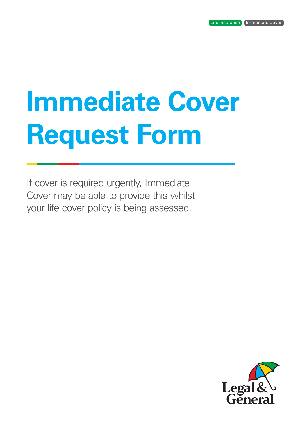# **Immediate Cover Request Form**

If cover is required urgently, Immediate Cover may be able to provide this whilst your life cover policy is being assessed.

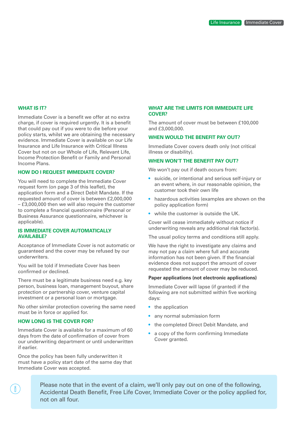#### **WHAT IS IT?**

Immediate Cover is a benefit we offer at no extra charge, if cover is required urgently. It is a benefit that could pay out if you were to die before your policy starts, whilst we are obtaining the necessary evidence. Immediate Cover is available on our Life Insurance and Life Insurance with Critical Illness Cover but not on our Whole of Life, Relevant Life, Income Protection Benefit or Family and Personal Income Plans.

#### **HOW DO I REQUEST IMMEDIATE COVER?**

You will need to complete the Immediate Cover request form (on page 3 of this leaflet), the application form and a Direct Debit Mandate. If the requested amount of cover is between £2,000,000 – £3,000,000 then we will also require the customer to complete a financial questionnaire (Personal or Business Assurance questionnaire, whichever is applicable).

#### **IS IMMEDIATE COVER AUTOMATICALLY AVAILABLE?**

Acceptance of Immediate Cover is not automatic or guaranteed and the cover may be refused by our underwriters.

You will be told if Immediate Cover has been confirmed or declined.

There must be a legitimate business need e.g. key person, business loan, management buyout, share protection or partnership cover, venture capital investment or a personal loan or mortgage.

No other similar protection covering the same need must be in force or applied for.

#### **HOW LONG IS THE COVER FOR?**

n.

Immediate Cover is available for a maximum of 60 days from the date of confirmation of cover from our underwriting department or until underwritten if earlier.

Once the policy has been fully underwritten it must have a policy start date of the same day that Immediate Cover was accepted.

#### **WHAT ARE THE LIMITS FOR IMMEDIATE LIFE COVER?**

The amount of cover must be between £100,000 and £3,000,000.

#### **WHEN WOULD THE BENEFIT PAY OUT?**

Immediate Cover covers death only (not critical illness or disability).

#### **WHEN WON'T THE BENEFIT PAY OUT?**

We won't pay out if death occurs from:

- suicide, or intentional and serious self-injury or an event where, in our reasonable opinion, the customer took their own life
- hazardous activities (examples are shown on the policy application form)
- while the customer is outside the UK.

Cover will cease immediately without notice if underwriting reveals any additional risk factor(s).

The usual policy terms and conditions still apply.

We have the right to investigate any claims and may not pay a claim where full and accurate information has not been given. If the financial evidence does not support the amount of cover requested the amount of cover may be reduced.

#### **Paper applications (not electronic applications)**

Immediate Cover will lapse (if granted) if the following are not submitted within five working days:

- the application
- any normal submission form
- the completed Direct Debit Mandate, and
- a copy of the form confirming Immediate Cover granted.

Please note that in the event of a claim, we'll only pay out on one of the following, Accidental Death Benefit, Free Life Cover, Immediate Cover or the policy applied for, not on all four.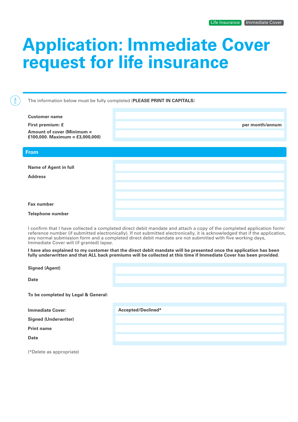## **Application: Immediate Cover request for life insurance**

The information below must be fully completed (**PLEASE PRINT IN CAPITALS**)

| <b>Customer name</b>                                          |                 |
|---------------------------------------------------------------|-----------------|
| First premium: £                                              | per month/annum |
| Amount of cover (Minimum =<br>£100,000. Maximum = £3,000,000) |                 |
| <b>From</b>                                                   |                 |
|                                                               |                 |
| <b>Name of Agent in full</b>                                  |                 |
| <b>Address</b>                                                |                 |
|                                                               |                 |
|                                                               |                 |
| <b>Fax number</b>                                             |                 |
| <b>Telephone number</b>                                       |                 |

I confirm that I have collected a completed direct debit mandate and attach a copy of the completed application form/ reference number (if submitted electronically). If not submitted electronically, it is acknowledged that if the application, any normal submission form and a completed direct debit mandate are not submitted with five working days, Immediate Cover will (if granted) lapse.

**I have also explained to my customer that the direct debit mandate will be presented once the application has been fully underwritten and that ALL back premiums will be collected at this time if Immediate Cover has been provided.**

**Signed (Agent)**

**Date**

ĬĬ

**To be completed by Legal & General:**

**Immediate Cover:** 

**Accepted/Declined\***

**Signed (Underwriter)**

**Print name**

**Date**

(\*Delete as appropriate)